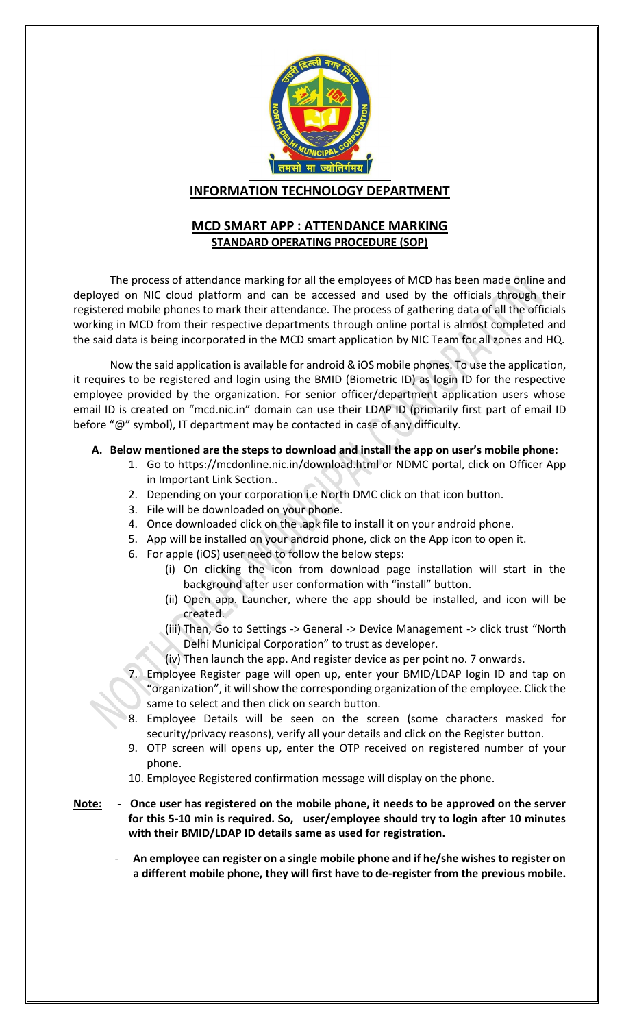

**INFORMATION TECHNOLOGY DEPARTMENT**

# **MCD SMART APP : ATTENDANCE MARKING STANDARD OPERATING PROCEDURE (SOP)**

The process of attendance marking for all the employees of MCD has been made online and deployed on NIC cloud platform and can be accessed and used by the officials through their registered mobile phones to mark their attendance. The process of gathering data of all the officials working in MCD from their respective departments through online portal is almost completed and the said data is being incorporated in the MCD smart application by NIC Team for all zones and HQ.

Now the said application is available for android & iOS mobile phones. To use the application, it requires to be registered and login using the BMID (Biometric ID) as login ID for the respective employee provided by the organization. For senior officer/department application users whose email ID is created on "mcd.nic.in" domain can use their LDAP ID (primarily first part of email ID before "@" symbol), IT department may be contacted in case of any difficulty.

## **A. Below mentioned are the steps to download and install the app on user's mobile phone:**

- 1. Go to https://mcdonline.nic.in/download.html or NDMC portal, click on Officer App in Important Link Section..
- 2. Depending on your corporation i.e North DMC click on that icon button.
- 3. File will be downloaded on your phone.
- 4. Once downloaded click on the .apk file to install it on your android phone.
- 5. App will be installed on your android phone, click on the App icon to open it.
- 6. For apple (iOS) user need to follow the below steps:
	- (i) On clicking the icon from download page installation will start in the background after user conformation with "install" button.
	- (ii) Open app. Launcher, where the app should be installed, and icon will be created.
	- (iii) Then, Go to Settings -> General -> Device Management -> click trust "North Delhi Municipal Corporation" to trust as developer.
	- (iv) Then launch the app. And register device as per point no. 7 onwards.
- 7. Employee Register page will open up, enter your BMID/LDAP login ID and tap on "organization", it will show the corresponding organization of the employee. Click the same to select and then click on search button.
- 8. Employee Details will be seen on the screen (some characters masked for security/privacy reasons), verify all your details and click on the Register button.
- 9. OTP screen will opens up, enter the OTP received on registered number of your phone.
- 10. Employee Registered confirmation message will display on the phone.
- **Note: Once user has registered on the mobile phone, it needs to be approved on the server for this 5-10 min is required. So, user/employee should try to login after 10 minutes with their BMID/LDAP ID details same as used for registration.**
	- **An employee can register on a single mobile phone and if he/she wishes to register on a different mobile phone, they will first have to de-register from the previous mobile.**